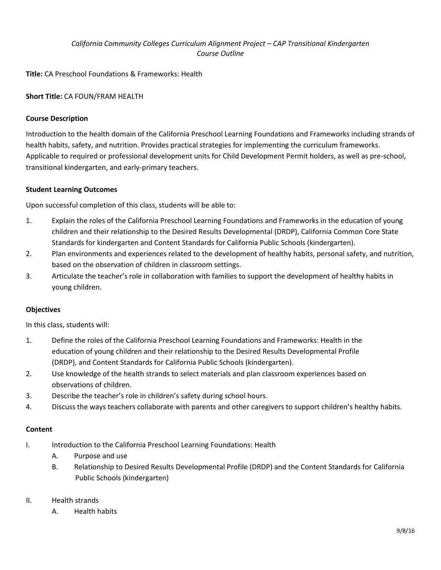# *California Community Colleges Curriculum Alignment Project – CAP Transitional Kindergarten Course Outline*

**Title:** CA Preschool Foundations & Frameworks: Health

**Short Title:** CA FOUN/FRAM HEALTH

## **Course Description**

Introduction to the health domain of the California Preschool Learning Foundations and Frameworks including strands of health habits, safety, and nutrition. Provides practical strategies for implementing the curriculum frameworks. Applicable to required or professional development units for Child Development Permit holders, as well as pre-school, transitional kindergarten, and early-primary teachers.

### **Student Learning Outcomes**

Upon successful completion of this class, students will be able to:

- 1. Explain the roles of the California Preschool Learning Foundations and Frameworks in the education of young children and their relationship to the Desired Results Developmental (DRDP), California Common Core State Standards for kindergarten and Content Standards for California Public Schools (kindergarten).
- 2. Plan environments and experiences related to the development of healthy habits, personal safety, and nutrition, based on the observation of children in classroom settings.
- 3. Articulate the teacher's role in collaboration with families to support the development of healthy habits in young children.

### **Objectives**

In this class, students will:

- 1. Define the roles of the California Preschool Learning Foundations and Frameworks: Health in the education of young children and their relationship to the Desired Results Developmental Profile (DRDP), and Content Standards for California Public Schools (kindergarten).
- 2. Use knowledge of the health strands to select materials and plan classroom experiences based on observations of children.
- 3. Describe the teacher's role in children's safety during school hours.
- 4. Discuss the ways teachers collaborate with parents and other caregivers to support children's healthy habits.

### **Content**

- I. Introduction to the California Preschool Learning Foundations: Health
	- A. Purpose and use
	- B. Relationship to Desired Results Developmental Profile (DRDP) and the Content Standards for California Public Schools (kindergarten)
- II. Health strands
	- A. Health habits